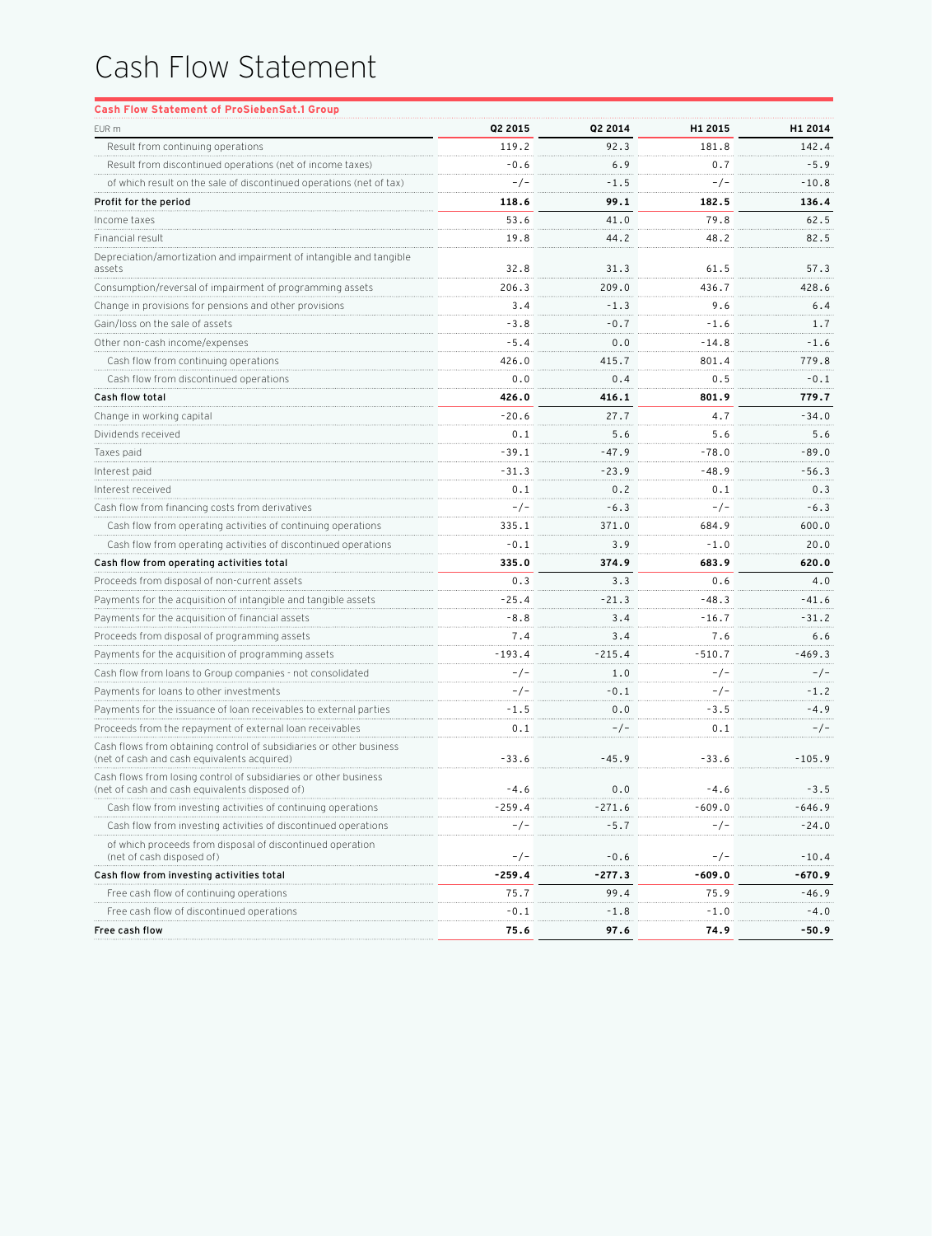## Cash Flow Statement

| EUR m                                                                                                              | Q2 2015  | Q2 2014  | H1 2015  | H1 2014  |
|--------------------------------------------------------------------------------------------------------------------|----------|----------|----------|----------|
| Result from continuing operations                                                                                  | 119.2    | 92.3     | 181.8    | 142.4    |
| Result from discontinued operations (net of income taxes)                                                          | $-0.6$   | 6.9      | 0.7      | $-5.9$   |
| of which result on the sale of discontinued operations (net of tax)                                                | $-/-$    | $-1.5$   | $-/-$    | $-10.8$  |
| Profit for the period                                                                                              | 118.6    | 99.1     | 182.5    | 136.4    |
| Income taxes                                                                                                       | 53.6     | 41.0     | 79.8     | 62.5     |
| Financial result                                                                                                   | 19.8     | 44.2     | 48.2     | 82.5     |
| Depreciation/amortization and impairment of intangible and tangible<br>assets                                      | 32.8     | 31.3     | 61.5     | 57.3     |
| Consumption/reversal of impairment of programming assets                                                           | 206.3    | 209.0    | 436.7    | 428.6    |
| Change in provisions for pensions and other provisions                                                             | 3.4      | $-1.3$   | 9.6      | 6.4      |
| Gain/loss on the sale of assets                                                                                    | -3.8     | $-0.7$   | -1.6     | 1.7      |
| Other non-cash income/expenses                                                                                     | -5.4     | 0.0      | -14.8    | $-1.6$   |
| Cash flow from continuing operations                                                                               | 426.0    | 415.7    | 801.4    | 779.8    |
| Cash flow from discontinued operations                                                                             | 0.0      | 0.4      | 0.5      | $-0.1$   |
| Cash flow total                                                                                                    | 426.0    | 416.1    | 801.9    | 779.7    |
| Change in working capital                                                                                          | -20.6    | 27.7     | 4.7      | $-34.0$  |
| Dividends received                                                                                                 | 0.1      | 5.6      | 5.6      | 5.6      |
| Taxes paid                                                                                                         | -39.1    | -47.9    | -78.0    | -89.0    |
| Interest paid                                                                                                      | -31.3    | $-23.9$  | $-48.9$  | $-56.3$  |
| Interest received                                                                                                  | 0.1      | 0.2      | 0.1      | 0.3      |
| Cash flow from financing costs from derivatives                                                                    | -/-      | $-6.3$   | -/-      | $-6.3$   |
| Cash flow from operating activities of continuing operations                                                       | 335.1    | 371.0    | 684.9    | 600.0    |
| Cash flow from operating activities of discontinued operations                                                     | -0.1     | 3.9      | -1.0     | 20.0     |
| Cash flow from operating activities total                                                                          | 335.0    | 374.9    | 683.9    | 620.0    |
| Proceeds from disposal of non-current assets                                                                       | 0.3      | 3.3      | 0.6      | 4.0      |
| Payments for the acquisition of intangible and tangible assets                                                     | -25.4    | -21.3    | -48.3    | -41.6    |
| Payments for the acquisition of financial assets                                                                   | -8.8     | 3.4      | -16.7    | -31.2    |
| Proceeds from disposal of programming assets                                                                       | 7.4      | 3.4      | 7.6      | 6.6      |
| Payments for the acquisition of programming assets                                                                 | -193.4   | -215.4   | -510.7   | -469.3   |
| Cash flow from loans to Group companies - not consolidated                                                         | -/-      | 1.0      | -/-      | $-/-$    |
| Payments for loans to other investments                                                                            | -/-      | $-0.1$   | -/-      | $-1.2$   |
| Payments for the issuance of loan receivables to external parties                                                  | -1.5     | 0.0      | -3.5     | -4.9     |
| Proceeds from the repayment of external loan receivables                                                           | 0.1      | -/-      | 0.1      | $-/-$    |
| Cash flows from obtaining control of subsidiaries or other business<br>(net of cash and cash equivalents acquired) | $-33.6$  | $-45.9$  | $-33.6$  | $-105.9$ |
| Cash flows from losing control of subsidiaries or other business<br>(net of cash and cash equivalents disposed of) | $-4.6$   | 0.0      | $-4.6$   | $-3.5$   |
| Cash flow from investing activities of continuing operations                                                       | $-259.4$ | $-271.6$ | $-609.0$ | -646.9   |
| Cash flow from investing activities of discontinued operations                                                     | $-/-$    | $-5.7$   | $-/-$    | $-24.0$  |
| of which proceeds from disposal of discontinued operation<br>(net of cash disposed of)                             | -/-      | $-0.6$   | $-/-$    | $-10.4$  |
| Cash flow from investing activities total                                                                          | -259.4   | -277.3   | $-609.0$ | -670.9   |
| Free cash flow of continuing operations                                                                            | 75.7     | 99.4     | 75.9     | $-46.9$  |
| Free cash flow of discontinued operations                                                                          | $-0.1$   | $-1.8$   | $-1.0$   | $-4.0$   |
| Free cash flow                                                                                                     | 75.6     | 97.6     | 74.9     | -50.9    |